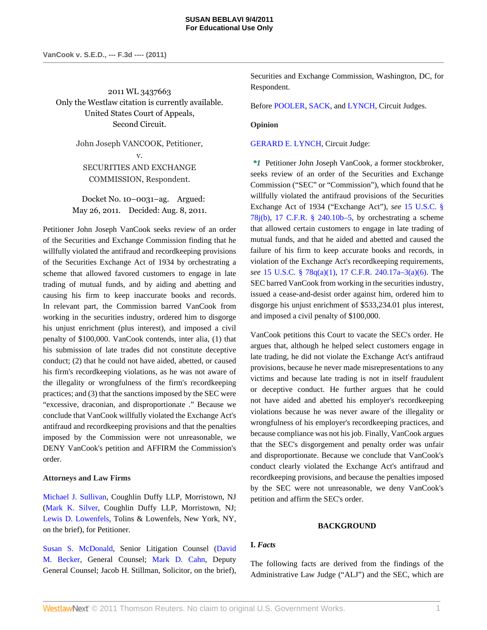2011 WL 3437663 Only the Westlaw citation is currently available. United States Court of Appeals, Second Circuit.

> John Joseph VANCOOK, Petitioner, v. SECURITIES AND EXCHANGE COMMISSION, Respondent.

Docket No. 10–0031–ag. Argued: May 26, 2011. Decided: Aug. 8, 2011.

Petitioner John Joseph VanCook seeks review of an order of the Securities and Exchange Commission finding that he willfully violated the antifraud and recordkeeping provisions of the Securities Exchange Act of 1934 by orchestrating a scheme that allowed favored customers to engage in late trading of mutual funds, and by aiding and abetting and causing his firm to keep inaccurate books and records. In relevant part, the Commission barred VanCook from working in the securities industry, ordered him to disgorge his unjust enrichment (plus interest), and imposed a civil penalty of \$100,000. VanCook contends, inter alia, (1) that his submission of late trades did not constitute deceptive conduct; (2) that he could not have aided, abetted, or caused his firm's recordkeeping violations, as he was not aware of the illegality or wrongfulness of the firm's recordkeeping practices; and (3) that the sanctions imposed by the SEC were "excessive, draconian, and disproportionate ." Because we conclude that VanCook willfully violated the Exchange Act's antifraud and recordkeeping provisions and that the penalties imposed by the Commission were not unreasonable, we DENY VanCook's petition and AFFIRM the Commission's order.

# **Attorneys and Law Firms**

[Michael J. Sullivan,](http://www.westlaw.com/Link/Document/FullText?findType=h&pubNum=176284&cite=0330409301&originatingDoc=I3b269273c1e511e08bbeb4ca0e5b8ed9&refType=RQ&originationContext=document&vr=3.0&rs=cblt1.0&transitionType=DocumentItem&contextData=(sc.Search)) Coughlin Duffy LLP, Morristown, NJ [\(Mark K. Silver](http://www.westlaw.com/Link/Document/FullText?findType=h&pubNum=176284&cite=0271011101&originatingDoc=I3b269273c1e511e08bbeb4ca0e5b8ed9&refType=RQ&originationContext=document&vr=3.0&rs=cblt1.0&transitionType=DocumentItem&contextData=(sc.Search)), Coughlin Duffy LLP, Morristown, NJ; [Lewis D. Lowenfels](http://www.westlaw.com/Link/Document/FullText?findType=h&pubNum=176284&cite=0250891601&originatingDoc=I3b269273c1e511e08bbeb4ca0e5b8ed9&refType=RQ&originationContext=document&vr=3.0&rs=cblt1.0&transitionType=DocumentItem&contextData=(sc.Search)), Tolins & Lowenfels, New York, NY, on the brief), for Petitioner.

[Susan S. McDonald,](http://www.westlaw.com/Link/Document/FullText?findType=h&pubNum=176284&cite=0221345601&originatingDoc=I3b269273c1e511e08bbeb4ca0e5b8ed9&refType=RQ&originationContext=document&vr=3.0&rs=cblt1.0&transitionType=DocumentItem&contextData=(sc.Search)) Senior Litigation Counsel ([David](http://www.westlaw.com/Link/Document/FullText?findType=h&pubNum=176284&cite=0179947901&originatingDoc=I3b269273c1e511e08bbeb4ca0e5b8ed9&refType=RQ&originationContext=document&vr=3.0&rs=cblt1.0&transitionType=DocumentItem&contextData=(sc.Search)) [M. Becker,](http://www.westlaw.com/Link/Document/FullText?findType=h&pubNum=176284&cite=0179947901&originatingDoc=I3b269273c1e511e08bbeb4ca0e5b8ed9&refType=RQ&originationContext=document&vr=3.0&rs=cblt1.0&transitionType=DocumentItem&contextData=(sc.Search)) General Counsel; [Mark D. Cahn](http://www.westlaw.com/Link/Document/FullText?findType=h&pubNum=176284&cite=0152529901&originatingDoc=I3b269273c1e511e08bbeb4ca0e5b8ed9&refType=RQ&originationContext=document&vr=3.0&rs=cblt1.0&transitionType=DocumentItem&contextData=(sc.Search)), Deputy General Counsel; Jacob H. Stillman, Solicitor, on the brief), Securities and Exchange Commission, Washington, DC, for Respondent.

Before [POOLER,](http://www.westlaw.com/Link/Document/FullText?findType=h&pubNum=176284&cite=0212690601&originatingDoc=I3b269273c1e511e08bbeb4ca0e5b8ed9&refType=RQ&originationContext=document&vr=3.0&rs=cblt1.0&transitionType=DocumentItem&contextData=(sc.Search)) [SACK](http://www.westlaw.com/Link/Document/FullText?findType=h&pubNum=176284&cite=0129377701&originatingDoc=I3b269273c1e511e08bbeb4ca0e5b8ed9&refType=RQ&originationContext=document&vr=3.0&rs=cblt1.0&transitionType=DocumentItem&contextData=(sc.Search)), and [LYNCH,](http://www.westlaw.com/Link/Document/FullText?findType=h&pubNum=176284&cite=0151601501&originatingDoc=I3b269273c1e511e08bbeb4ca0e5b8ed9&refType=RQ&originationContext=document&vr=3.0&rs=cblt1.0&transitionType=DocumentItem&contextData=(sc.Search)) Circuit Judges.

# **Opinion**

[GERARD E. LYNCH](http://www.westlaw.com/Link/Document/FullText?findType=h&pubNum=176284&cite=0151601501&originatingDoc=I3b269273c1e511e08bbeb4ca0e5b8ed9&refType=RQ&originationContext=document&vr=3.0&rs=cblt1.0&transitionType=DocumentItem&contextData=(sc.Search)), Circuit Judge:

*\*1* Petitioner John Joseph VanCook, a former stockbroker, seeks review of an order of the Securities and Exchange Commission ("SEC" or "Commission"), which found that he willfully violated the antifraud provisions of the Securities Exchange Act of 1934 ("Exchange Act"), *see* [15 U.S.C. §](http://www.westlaw.com/Link/Document/FullText?findType=L&pubNum=1000546&cite=15USCAS78J&originationContext=document&vr=3.0&rs=cblt1.0&transitionType=DocumentItem&contextData=(sc.Search)#co_pp_a83b000018c76) [78j\(b\)](http://www.westlaw.com/Link/Document/FullText?findType=L&pubNum=1000546&cite=15USCAS78J&originationContext=document&vr=3.0&rs=cblt1.0&transitionType=DocumentItem&contextData=(sc.Search)#co_pp_a83b000018c76), 17 C.F.R.  $\S$  240.10b–5, by orchestrating a scheme that allowed certain customers to engage in late trading of mutual funds, and that he aided and abetted and caused the failure of his firm to keep accurate books and records, in violation of the Exchange Act's recordkeeping requirements, *see* [15 U.S.C. § 78q\(a\)\(1\),](http://www.westlaw.com/Link/Document/FullText?findType=L&pubNum=1000546&cite=15USCAS78Q&originationContext=document&vr=3.0&rs=cblt1.0&transitionType=DocumentItem&contextData=(sc.Search)#co_pp_7b9b000044381) [17 C.F.R. 240.17a–3\(a\)\(6\)](http://www.westlaw.com/Link/Document/FullText?findType=L&pubNum=1000547&cite=17CFRS240.17A-3&originationContext=document&vr=3.0&rs=cblt1.0&transitionType=DocumentItem&contextData=(sc.Search)#co_pp_1496000051ed7). The SEC barred VanCook from working in the securities industry, issued a cease-and-desist order against him, ordered him to disgorge his unjust enrichment of \$533,234.01 plus interest, and imposed a civil penalty of \$100,000.

VanCook petitions this Court to vacate the SEC's order. He argues that, although he helped select customers engage in late trading, he did not violate the Exchange Act's antifraud provisions, because he never made misrepresentations to any victims and because late trading is not in itself fraudulent or deceptive conduct. He further argues that he could not have aided and abetted his employer's recordkeeping violations because he was never aware of the illegality or wrongfulness of his employer's recordkeeping practices, and because compliance was not his job. Finally, VanCook argues that the SEC's disgorgement and penalty order was unfair and disproportionate. Because we conclude that VanCook's conduct clearly violated the Exchange Act's antifraud and recordkeeping provisions, and because the penalties imposed by the SEC were not unreasonable, we deny VanCook's petition and affirm the SEC's order.

# **BACKGROUND**

# **I.** *Facts*

The following facts are derived from the findings of the Administrative Law Judge ("ALJ") and the SEC, which are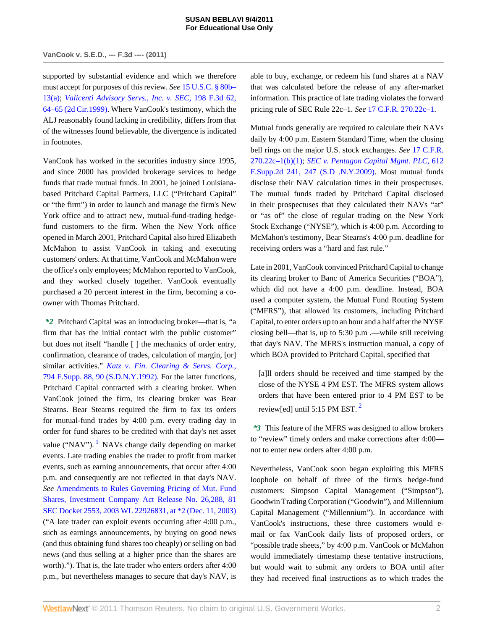#### **SUSAN BEBLAVI 9/4/2011 For Educational Use Only**

# **VanCook v. S.E.D., --- F.3d ---- (2011)**

supported by substantial evidence and which we therefore must accept for purposes of this review. *See* [15 U.S.C. § 80b–](http://www.westlaw.com/Link/Document/FullText?findType=L&pubNum=1000546&cite=15USCAS80B-13&originationContext=document&vr=3.0&rs=cblt1.0&transitionType=DocumentItem&contextData=(sc.Search)#co_pp_8b3b0000958a4) [13\(a\)](http://www.westlaw.com/Link/Document/FullText?findType=L&pubNum=1000546&cite=15USCAS80B-13&originationContext=document&vr=3.0&rs=cblt1.0&transitionType=DocumentItem&contextData=(sc.Search)#co_pp_8b3b0000958a4); *[Valicenti Advisory Servs., Inc. v. SEC,](http://www.westlaw.com/Link/Document/FullText?findType=Y&serNum=1999263783&pubNum=506&originationContext=document&vr=3.0&rs=cblt1.0&transitionType=DocumentItem&contextData=(sc.Search)#co_pp_sp_506_64)* 198 F.3d 62, [64–65 \(2d Cir.1999\)](http://www.westlaw.com/Link/Document/FullText?findType=Y&serNum=1999263783&pubNum=506&originationContext=document&vr=3.0&rs=cblt1.0&transitionType=DocumentItem&contextData=(sc.Search)#co_pp_sp_506_64). Where VanCook's testimony, which the ALJ reasonably found lacking in credibility, differs from that of the witnesses found believable, the divergence is indicated in footnotes.

VanCook has worked in the securities industry since 1995, and since 2000 has provided brokerage services to hedge funds that trade mutual funds. In 2001, he joined Louisianabased Pritchard Capital Partners, LLC ("Pritchard Capital" or "the firm") in order to launch and manage the firm's New York office and to attract new, mutual-fund-trading hedgefund customers to the firm. When the New York office opened in March 2001, Pritchard Capital also hired Elizabeth McMahon to assist VanCook in taking and executing customers' orders. At that time, VanCook and McMahon were the office's only employees; McMahon reported to VanCook, and they worked closely together. VanCook eventually purchased a 20 percent interest in the firm, becoming a coowner with Thomas Pritchard.

<span id="page-1-0"></span>*\*2* Pritchard Capital was an introducing broker—that is, "a firm that has the initial contact with the public customer" but does not itself "handle [ ] the mechanics of order entry, confirmation, clearance of trades, calculation of margin, [or] similar activities." *[Katz v. Fin. Clearing & Servs. Corp.,](http://www.westlaw.com/Link/Document/FullText?findType=Y&serNum=1992097654&pubNum=345&originationContext=document&vr=3.0&rs=cblt1.0&transitionType=DocumentItem&contextData=(sc.Search)#co_pp_sp_345_90)* [794 F.Supp. 88, 90 \(S.D.N.Y.1992\)](http://www.westlaw.com/Link/Document/FullText?findType=Y&serNum=1992097654&pubNum=345&originationContext=document&vr=3.0&rs=cblt1.0&transitionType=DocumentItem&contextData=(sc.Search)#co_pp_sp_345_90). For the latter functions, Pritchard Capital contracted with a clearing broker. When VanCook joined the firm, its clearing broker was Bear Stearns. Bear Stearns required the firm to fax its orders for mutual-fund trades by 4:00 p.m. every trading day in order for fund shares to be credited with that day's net asset value ("NAV").  $<sup>1</sup>$  $<sup>1</sup>$  $<sup>1</sup>$  NAVs change daily depending on market</sup> events. Late trading enables the trader to profit from market events, such as earning announcements, that occur after 4:00 p.m. and consequently are not reflected in that day's NAV. *See* [Amendments to Rules Governing Pricing of Mut. Fund](http://www.westlaw.com/Link/Document/FullText?findType=Y&serNum=2003912981&pubNum=0006513&originationContext=document&vr=3.0&rs=cblt1.0&transitionType=DocumentItem&contextData=(sc.Search)) [Shares, Investment Company Act Release No. 26,288, 81](http://www.westlaw.com/Link/Document/FullText?findType=Y&serNum=2003912981&pubNum=0006513&originationContext=document&vr=3.0&rs=cblt1.0&transitionType=DocumentItem&contextData=(sc.Search)) [SEC Docket 2553, 2003 WL 22926831, at \\*2 \(Dec. 11, 2003\)](http://www.westlaw.com/Link/Document/FullText?findType=Y&serNum=2003912981&pubNum=0006513&originationContext=document&vr=3.0&rs=cblt1.0&transitionType=DocumentItem&contextData=(sc.Search)) ("A late trader can exploit events occurring after 4:00 p.m., such as earnings announcements, by buying on good news (and thus obtaining fund shares too cheaply) or selling on bad news (and thus selling at a higher price than the shares are worth)."). That is, the late trader who enters orders after 4:00 p.m., but nevertheless manages to secure that day's NAV, is able to buy, exchange, or redeem his fund shares at a NAV that was calculated before the release of any after-market information. This practice of late trading violates the forward pricing rule of SEC Rule 22c–1. *See* [17 C.F.R. 270.22c–1](http://www.westlaw.com/Link/Document/FullText?findType=L&pubNum=1000547&cite=17CFRS270.22C-1&originatingDoc=I3b269273c1e511e08bbeb4ca0e5b8ed9&refType=LQ&originationContext=document&vr=3.0&rs=cblt1.0&transitionType=DocumentItem&contextData=(sc.Search)).

Mutual funds generally are required to calculate their NAVs daily by 4:00 p.m. Eastern Standard Time, when the closing bell rings on the major U.S. stock exchanges. *See* [17 C.F.R.](http://www.westlaw.com/Link/Document/FullText?findType=L&pubNum=1000547&cite=17CFRS270.22C-1&originationContext=document&vr=3.0&rs=cblt1.0&transitionType=DocumentItem&contextData=(sc.Search)#co_pp_3fed000053a85) [270.22c–1\(b\)\(1\)](http://www.westlaw.com/Link/Document/FullText?findType=L&pubNum=1000547&cite=17CFRS270.22C-1&originationContext=document&vr=3.0&rs=cblt1.0&transitionType=DocumentItem&contextData=(sc.Search)#co_pp_3fed000053a85); *[SEC v. Pentagon Capital Mgmt. PLC,](http://www.westlaw.com/Link/Document/FullText?findType=Y&serNum=2018119647&pubNum=4637&originationContext=document&vr=3.0&rs=cblt1.0&transitionType=DocumentItem&contextData=(sc.Search)#co_pp_sp_4637_247)* 612 [F.Supp.2d 241, 247 \(S.D .N.Y.2009\)](http://www.westlaw.com/Link/Document/FullText?findType=Y&serNum=2018119647&pubNum=4637&originationContext=document&vr=3.0&rs=cblt1.0&transitionType=DocumentItem&contextData=(sc.Search)#co_pp_sp_4637_247). Most mutual funds disclose their NAV calculation times in their prospectuses. The mutual funds traded by Pritchard Capital disclosed in their prospectuses that they calculated their NAVs "at" or "as of" the close of regular trading on the New York Stock Exchange ("NYSE"), which is 4:00 p.m. According to McMahon's testimony, Bear Stearns's 4:00 p.m. deadline for receiving orders was a "hard and fast rule."

Late in 2001, VanCook convinced Pritchard Capital to change its clearing broker to Banc of America Securities ("BOA"), which did not have a 4:00 p.m. deadline. Instead, BOA used a computer system, the Mutual Fund Routing System ("MFRS"), that allowed its customers, including Pritchard Capital, to enter orders up to an hour and a half after the NYSE closing bell—that is, up to 5:30 p.m .—while still receiving that day's NAV. The MFRS's instruction manual, a copy of which BOA provided to Pritchard Capital, specified that

<span id="page-1-1"></span>[a]ll orders should be received and time stamped by the close of the NYSE 4 PM EST. The MFRS system allows orders that have been entered prior to 4 PM EST to be review [ed] until 5:15 PM EST.  $2$ 

*\*3* This feature of the MFRS was designed to allow brokers to "review" timely orders and make corrections after 4:00 not to enter new orders after 4:00 p.m.

Nevertheless, VanCook soon began exploiting this MFRS loophole on behalf of three of the firm's hedge-fund customers: Simpson Capital Management ("Simpson"), Goodwin Trading Corporation ("Goodwin"), and Millennium Capital Management ("Millennium"). In accordance with VanCook's instructions, these three customers would email or fax VanCook daily lists of proposed orders, or "possible trade sheets," by 4:00 p.m. VanCook or McMahon would immediately timestamp these tentative instructions, but would wait to submit any orders to BOA until after they had received final instructions as to which trades the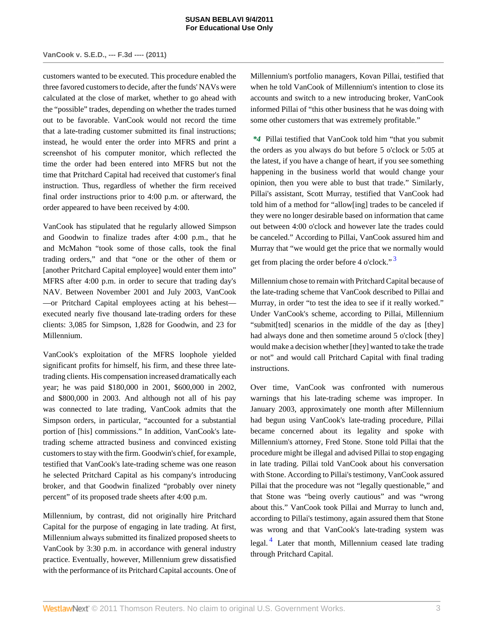# **VanCook v. S.E.D., --- F.3d ---- (2011)**

customers wanted to be executed. This procedure enabled the three favored customers to decide, after the funds' NAVs were calculated at the close of market, whether to go ahead with the "possible" trades, depending on whether the trades turned out to be favorable. VanCook would not record the time that a late-trading customer submitted its final instructions; instead, he would enter the order into MFRS and print a screenshot of his computer monitor, which reflected the time the order had been entered into MFRS but not the time that Pritchard Capital had received that customer's final instruction. Thus, regardless of whether the firm received final order instructions prior to 4:00 p.m. or afterward, the order appeared to have been received by 4:00.

VanCook has stipulated that he regularly allowed Simpson and Goodwin to finalize trades after 4:00 p.m., that he and McMahon "took some of those calls, took the final trading orders," and that "one or the other of them or [another Pritchard Capital employee] would enter them into" MFRS after 4:00 p.m. in order to secure that trading day's NAV. Between November 2001 and July 2003, VanCook —or Pritchard Capital employees acting at his behest executed nearly five thousand late-trading orders for these clients: 3,085 for Simpson, 1,828 for Goodwin, and 23 for Millennium.

VanCook's exploitation of the MFRS loophole yielded significant profits for himself, his firm, and these three latetrading clients. His compensation increased dramatically each year; he was paid \$180,000 in 2001, \$600,000 in 2002, and \$800,000 in 2003. And although not all of his pay was connected to late trading, VanCook admits that the Simpson orders, in particular, "accounted for a substantial portion of [his] commissions." In addition, VanCook's latetrading scheme attracted business and convinced existing customers to stay with the firm. Goodwin's chief, for example, testified that VanCook's late-trading scheme was one reason he selected Pritchard Capital as his company's introducing broker, and that Goodwin finalized "probably over ninety percent" of its proposed trade sheets after 4:00 p.m.

Millennium, by contrast, did not originally hire Pritchard Capital for the purpose of engaging in late trading. At first, Millennium always submitted its finalized proposed sheets to VanCook by 3:30 p.m. in accordance with general industry practice. Eventually, however, Millennium grew dissatisfied with the performance of its Pritchard Capital accounts. One of Millennium's portfolio managers, Kovan Pillai, testified that when he told VanCook of Millennium's intention to close its accounts and switch to a new introducing broker, VanCook informed Pillai of "this other business that he was doing with some other customers that was extremely profitable."

*\*4* Pillai testified that VanCook told him "that you submit the orders as you always do but before 5 o'clock or 5:05 at the latest, if you have a change of heart, if you see something happening in the business world that would change your opinion, then you were able to bust that trade." Similarly, Pillai's assistant, Scott Murray, testified that VanCook had told him of a method for "allow[ing] trades to be canceled if they were no longer desirable based on information that came out between 4:00 o'clock and however late the trades could be canceled." According to Pillai, VanCook assured him and Murray that "we would get the price that we normally would get from placing the order before 4 o'clock." [3](#page-9-0)

<span id="page-2-0"></span>Millennium chose to remain with Pritchard Capital because of the late-trading scheme that VanCook described to Pillai and Murray, in order "to test the idea to see if it really worked." Under VanCook's scheme, according to Pillai, Millennium "submit[ted] scenarios in the middle of the day as [they] had always done and then sometime around 5 o'clock [they] would make a decision whether [they] wanted to take the trade or not" and would call Pritchard Capital with final trading instructions.

<span id="page-2-1"></span>Over time, VanCook was confronted with numerous warnings that his late-trading scheme was improper. In January 2003, approximately one month after Millennium had begun using VanCook's late-trading procedure, Pillai became concerned about its legality and spoke with Millennium's attorney, Fred Stone. Stone told Pillai that the procedure might be illegal and advised Pillai to stop engaging in late trading. Pillai told VanCook about his conversation with Stone. According to Pillai's testimony, VanCook assured Pillai that the procedure was not "legally questionable," and that Stone was "being overly cautious" and was "wrong about this." VanCook took Pillai and Murray to lunch and, according to Pillai's testimony, again assured them that Stone was wrong and that VanCook's late-trading system was legal.<sup>[4](#page-9-1)</sup> Later that month, Millennium ceased late trading through Pritchard Capital.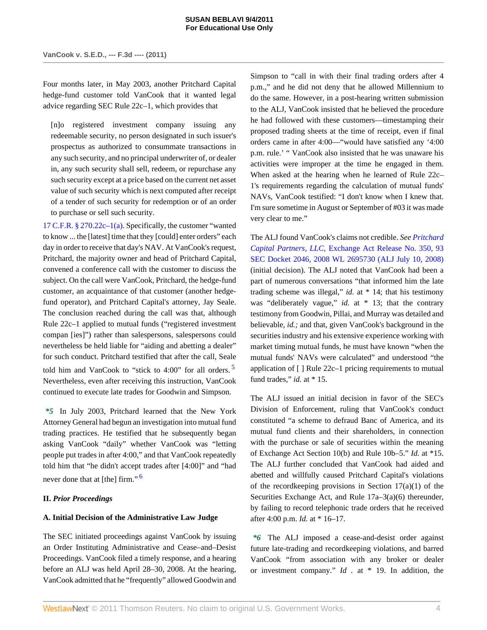Four months later, in May 2003, another Pritchard Capital hedge-fund customer told VanCook that it wanted legal advice regarding SEC Rule 22c–1, which provides that

[n]o registered investment company issuing any redeemable security, no person designated in such issuer's prospectus as authorized to consummate transactions in any such security, and no principal underwriter of, or dealer in, any such security shall sell, redeem, or repurchase any such security except at a price based on the current net asset value of such security which is next computed after receipt of a tender of such security for redemption or of an order to purchase or sell such security.

[17 C.F.R. § 270.22c–1\(a\)](http://www.westlaw.com/Link/Document/FullText?findType=L&pubNum=1000547&cite=17CFRS270.22C-1&originationContext=document&vr=3.0&rs=cblt1.0&transitionType=DocumentItem&contextData=(sc.Search)#co_pp_8b3b0000958a4). Specifically, the customer "wanted to know ... the [latest] time that they [could] enter orders" each day in order to receive that day's NAV. At VanCook's request, Pritchard, the majority owner and head of Pritchard Capital, convened a conference call with the customer to discuss the subject. On the call were VanCook, Pritchard, the hedge-fund customer, an acquaintance of that customer (another hedgefund operator), and Pritchard Capital's attorney, Jay Seale. The conclusion reached during the call was that, although Rule 22c–1 applied to mutual funds ("registered investment compan [ies]") rather than salespersons, salespersons could nevertheless be held liable for "aiding and abetting a dealer" for such conduct. Pritchard testified that after the call, Seale told him and VanCook to "stick to  $4:00$ " for all orders. Nevertheless, even after receiving this instruction, VanCook continued to execute late trades for Goodwin and Simpson.

*\*5* In July 2003, Pritchard learned that the New York Attorney General had begun an investigation into mutual fund trading practices. He testified that he subsequently began asking VanCook "daily" whether VanCook was "letting people put trades in after 4:00," and that VanCook repeatedly told him that "he didn't accept trades after [4:00]" and "had never done that at [the] firm."<sup>[6](#page-9-3)</sup>

# <span id="page-3-1"></span>**II.** *Prior Proceedings*

# **A. Initial Decision of the Administrative Law Judge**

The SEC initiated proceedings against VanCook by issuing an Order Instituting Administrative and Cease–and–Desist Proceedings. VanCook filed a timely response, and a hearing before an ALJ was held April 28–30, 2008. At the hearing, VanCook admitted that he "frequently" allowed Goodwin and Simpson to "call in with their final trading orders after 4 p.m.," and he did not deny that he allowed Millennium to do the same. However, in a post-hearing written submission to the ALJ, VanCook insisted that he believed the procedure he had followed with these customers—timestamping their proposed trading sheets at the time of receipt, even if final orders came in after 4:00—"would have satisfied any '4:00 p.m. rule.' " VanCook also insisted that he was unaware his activities were improper at the time he engaged in them. When asked at the hearing when he learned of Rule 22c– 1's requirements regarding the calculation of mutual funds' NAVs, VanCook testified: "I don't know when I knew that. I'm sure sometime in August or September of #03 it was made very clear to me."

The ALJ found VanCook's claims not credible. *See [Pritchard](http://www.westlaw.com/Link/Document/FullText?findType=Y&serNum=2016506882&pubNum=0006509&originationContext=document&vr=3.0&rs=cblt1.0&transitionType=DocumentItem&contextData=(sc.Search)) Capital Partners, LLC,* [Exchange Act Release No. 350, 93](http://www.westlaw.com/Link/Document/FullText?findType=Y&serNum=2016506882&pubNum=0006509&originationContext=document&vr=3.0&rs=cblt1.0&transitionType=DocumentItem&contextData=(sc.Search)) [SEC Docket 2046, 2008 WL 2695730 \(ALJ July 10, 2008\)](http://www.westlaw.com/Link/Document/FullText?findType=Y&serNum=2016506882&pubNum=0006509&originationContext=document&vr=3.0&rs=cblt1.0&transitionType=DocumentItem&contextData=(sc.Search)) (initial decision). The ALJ noted that VanCook had been a part of numerous conversations "that informed him the late trading scheme was illegal," *id.* at \* 14; that his testimony was "deliberately vague," *id.* at \* 13; that the contrary testimony from Goodwin, Pillai, and Murray was detailed and believable, *id.;* and that, given VanCook's background in the securities industry and his extensive experience working with market timing mutual funds, he must have known "when the mutual funds' NAVs were calculated" and understood "the application of [ ] Rule 22c–1 pricing requirements to mutual fund trades," *id.* at \* 15.

<span id="page-3-0"></span>The ALJ issued an initial decision in favor of the SEC's Division of Enforcement, ruling that VanCook's conduct constituted "a scheme to defraud Banc of America, and its mutual fund clients and their shareholders, in connection with the purchase or sale of securities within the meaning of Exchange Act Section 10(b) and Rule 10b–5." *Id.* at \*15. The ALJ further concluded that VanCook had aided and abetted and willfully caused Pritchard Capital's violations of the recordkeeping provisions in Section  $17(a)(1)$  of the Securities Exchange Act, and Rule 17a–3(a)(6) thereunder, by failing to record telephonic trade orders that he received after 4:00 p.m. *Id.* at \* 16–17.

*\*6* The ALJ imposed a cease-and-desist order against future late-trading and recordkeeping violations, and barred VanCook "from association with any broker or dealer or investment company." *Id .* at \* 19. In addition, the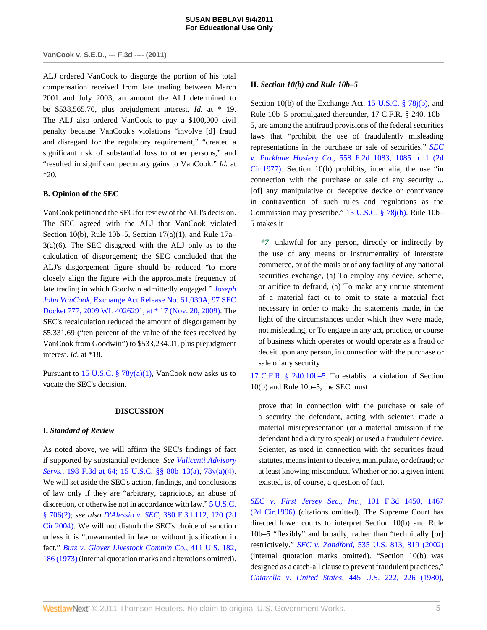# **VanCook v. S.E.D., --- F.3d ---- (2011)**

ALJ ordered VanCook to disgorge the portion of his total compensation received from late trading between March 2001 and July 2003, an amount the ALJ determined to be \$538,565.70, plus prejudgment interest. *Id.* at \* 19. The ALJ also ordered VanCook to pay a \$100,000 civil penalty because VanCook's violations "involve [d] fraud and disregard for the regulatory requirement," "created a significant risk of substantial loss to other persons," and "resulted in significant pecuniary gains to VanCook." *Id.* at \*20.

### **B. Opinion of the SEC**

VanCook petitioned the SEC for review of the ALJ's decision. The SEC agreed with the ALJ that VanCook violated Section 10(b), Rule 10b–5, Section 17(a)(1), and Rule  $17a 3(a)(6)$ . The SEC disagreed with the ALJ only as to the calculation of disgorgement; the SEC concluded that the ALJ's disgorgement figure should be reduced "to more closely align the figure with the approximate frequency of late trading in which Goodwin admittedly engaged." *[Joseph](http://www.westlaw.com/Link/Document/FullText?findType=Y&serNum=2020480244&pubNum=0006509&originationContext=document&vr=3.0&rs=cblt1.0&transitionType=DocumentItem&contextData=(sc.Search)) John VanCook,* [Exchange Act Release No. 61,039A, 97 SEC](http://www.westlaw.com/Link/Document/FullText?findType=Y&serNum=2020480244&pubNum=0006509&originationContext=document&vr=3.0&rs=cblt1.0&transitionType=DocumentItem&contextData=(sc.Search)) [Docket 777, 2009 WL 4026291, at \\* 17 \(Nov. 20, 2009\).](http://www.westlaw.com/Link/Document/FullText?findType=Y&serNum=2020480244&pubNum=0006509&originationContext=document&vr=3.0&rs=cblt1.0&transitionType=DocumentItem&contextData=(sc.Search)) The SEC's recalculation reduced the amount of disgorgement by \$5,331.69 ("ten percent of the value of the fees received by VanCook from Goodwin") to \$533,234.01, plus prejudgment interest. *Id.* at \*18.

Pursuant to 15 U.S.C. §  $78y(a)(1)$ , VanCook now asks us to vacate the SEC's decision.

#### **DISCUSSION**

#### **I.** *Standard of Review*

As noted above, we will affirm the SEC's findings of fact if supported by substantial evidence. *See [Valicenti Advisory](http://www.westlaw.com/Link/Document/FullText?findType=Y&serNum=1999263783&pubNum=506&originationContext=document&vr=3.0&rs=cblt1.0&transitionType=DocumentItem&contextData=(sc.Search)#co_pp_sp_506_64) Servs.,* [198 F.3d at 64;](http://www.westlaw.com/Link/Document/FullText?findType=Y&serNum=1999263783&pubNum=506&originationContext=document&vr=3.0&rs=cblt1.0&transitionType=DocumentItem&contextData=(sc.Search)#co_pp_sp_506_64) [15 U.S.C. §§ 80b–13\(a\),](http://www.westlaw.com/Link/Document/FullText?findType=L&pubNum=1000546&cite=15USCAS80B-13&originationContext=document&vr=3.0&rs=cblt1.0&transitionType=DocumentItem&contextData=(sc.Search)#co_pp_8b3b0000958a4) [78y\(a\)\(4\)](http://www.westlaw.com/Link/Document/FullText?findType=L&pubNum=1000546&cite=15USCAS78Y&originationContext=document&vr=3.0&rs=cblt1.0&transitionType=DocumentItem&contextData=(sc.Search)#co_pp_d40e000072291). We will set aside the SEC's action, findings, and conclusions of law only if they are "arbitrary, capricious, an abuse of discretion, or otherwise not in accordance with law." [5 U.S.C.](http://www.westlaw.com/Link/Document/FullText?findType=L&pubNum=1000546&cite=5USCAS706&originationContext=document&vr=3.0&rs=cblt1.0&transitionType=DocumentItem&contextData=(sc.Search)#co_pp_58730000872b1) [§ 706\(2\);](http://www.westlaw.com/Link/Document/FullText?findType=L&pubNum=1000546&cite=5USCAS706&originationContext=document&vr=3.0&rs=cblt1.0&transitionType=DocumentItem&contextData=(sc.Search)#co_pp_58730000872b1) *see also D'Alessio v. SEC,* [380 F.3d 112, 120 \(2d](http://www.westlaw.com/Link/Document/FullText?findType=Y&serNum=2004869284&pubNum=506&originationContext=document&vr=3.0&rs=cblt1.0&transitionType=DocumentItem&contextData=(sc.Search)#co_pp_sp_506_120) [Cir.2004\).](http://www.westlaw.com/Link/Document/FullText?findType=Y&serNum=2004869284&pubNum=506&originationContext=document&vr=3.0&rs=cblt1.0&transitionType=DocumentItem&contextData=(sc.Search)#co_pp_sp_506_120) We will not disturb the SEC's choice of sanction unless it is "unwarranted in law or without justification in fact." *[Butz v. Glover Livestock Comm'n Co.,](http://www.westlaw.com/Link/Document/FullText?findType=Y&serNum=1973126365&pubNum=780&originationContext=document&vr=3.0&rs=cblt1.0&transitionType=DocumentItem&contextData=(sc.Search)#co_pp_sp_780_186)* 411 U.S. 182, [186 \(1973\)](http://www.westlaw.com/Link/Document/FullText?findType=Y&serNum=1973126365&pubNum=780&originationContext=document&vr=3.0&rs=cblt1.0&transitionType=DocumentItem&contextData=(sc.Search)#co_pp_sp_780_186) (internal quotation marks and alterations omitted).

#### **II.** *Section 10(b) and Rule 10b–5*

Section 10(b) of the Exchange Act, [15 U.S.C. § 78j\(b\),](http://www.westlaw.com/Link/Document/FullText?findType=L&pubNum=1000546&cite=15USCAS78J&originationContext=document&vr=3.0&rs=cblt1.0&transitionType=DocumentItem&contextData=(sc.Search)#co_pp_a83b000018c76) and Rule 10b–5 promulgated thereunder, 17 C.F.R. § 240. 10b– 5, are among the antifraud provisions of the federal securities laws that "prohibit the use of fraudulently misleading representations in the purchase or sale of securities." *[SEC](http://www.westlaw.com/Link/Document/FullText?findType=Y&serNum=1977123055&pubNum=350&originationContext=document&vr=3.0&rs=cblt1.0&transitionType=DocumentItem&contextData=(sc.Search)#co_pp_sp_350_1085) v. Parklane Hosiery Co.,* [558 F.2d 1083, 1085 n. 1 \(2d](http://www.westlaw.com/Link/Document/FullText?findType=Y&serNum=1977123055&pubNum=350&originationContext=document&vr=3.0&rs=cblt1.0&transitionType=DocumentItem&contextData=(sc.Search)#co_pp_sp_350_1085) [Cir.1977\).](http://www.westlaw.com/Link/Document/FullText?findType=Y&serNum=1977123055&pubNum=350&originationContext=document&vr=3.0&rs=cblt1.0&transitionType=DocumentItem&contextData=(sc.Search)#co_pp_sp_350_1085) Section 10(b) prohibits, inter alia, the use "in connection with the purchase or sale of any security ... [of] any manipulative or deceptive device or contrivance in contravention of such rules and regulations as the Commission may prescribe." [15 U.S.C. § 78j\(b\).](http://www.westlaw.com/Link/Document/FullText?findType=L&pubNum=1000546&cite=15USCAS78J&originationContext=document&vr=3.0&rs=cblt1.0&transitionType=DocumentItem&contextData=(sc.Search)#co_pp_a83b000018c76) Rule 10b– 5 makes it

*\*7* unlawful for any person, directly or indirectly by the use of any means or instrumentality of interstate commerce, or of the mails or of any facility of any national securities exchange, (a) To employ any device, scheme, or artifice to defraud, (a) To make any untrue statement of a material fact or to omit to state a material fact necessary in order to make the statements made, in the light of the circumstances under which they were made, not misleading, or To engage in any act, practice, or course of business which operates or would operate as a fraud or deceit upon any person, in connection with the purchase or sale of any security.

[17 C.F.R. § 240.10b–5.](http://www.westlaw.com/Link/Document/FullText?findType=L&pubNum=1000547&cite=17CFRS240.10B-5&originatingDoc=I3b269273c1e511e08bbeb4ca0e5b8ed9&refType=LQ&originationContext=document&vr=3.0&rs=cblt1.0&transitionType=DocumentItem&contextData=(sc.Search)) To establish a violation of Section 10(b) and Rule 10b–5, the SEC must

prove that in connection with the purchase or sale of a security the defendant, acting with scienter, made a material misrepresentation (or a material omission if the defendant had a duty to speak) or used a fraudulent device. Scienter, as used in connection with the securities fraud statutes, means intent to deceive, manipulate, or defraud; or at least knowing misconduct. Whether or not a given intent existed, is, of course, a question of fact.

*[SEC v. First Jersey Sec., Inc.,](http://www.westlaw.com/Link/Document/FullText?findType=Y&serNum=1996271317&pubNum=506&originationContext=document&vr=3.0&rs=cblt1.0&transitionType=DocumentItem&contextData=(sc.Search)#co_pp_sp_506_1467)* 101 F.3d 1450, 1467 [\(2d Cir.1996\)](http://www.westlaw.com/Link/Document/FullText?findType=Y&serNum=1996271317&pubNum=506&originationContext=document&vr=3.0&rs=cblt1.0&transitionType=DocumentItem&contextData=(sc.Search)#co_pp_sp_506_1467) (citations omitted). The Supreme Court has directed lower courts to interpret Section 10(b) and Rule 10b–5 "flexibly" and broadly, rather than "technically [or] restrictively." *SEC v. Zandford,* [535 U.S. 813, 819 \(2002\)](http://www.westlaw.com/Link/Document/FullText?findType=Y&serNum=2002339609&pubNum=780&originationContext=document&vr=3.0&rs=cblt1.0&transitionType=DocumentItem&contextData=(sc.Search)#co_pp_sp_780_819) (internal quotation marks omitted). "Section 10(b) was designed as a catch-all clause to prevent fraudulent practices," *Chiarella v. United States,* [445 U.S. 222, 226 \(1980\)](http://www.westlaw.com/Link/Document/FullText?findType=Y&serNum=1980105863&pubNum=780&originationContext=document&vr=3.0&rs=cblt1.0&transitionType=DocumentItem&contextData=(sc.Search)#co_pp_sp_780_226),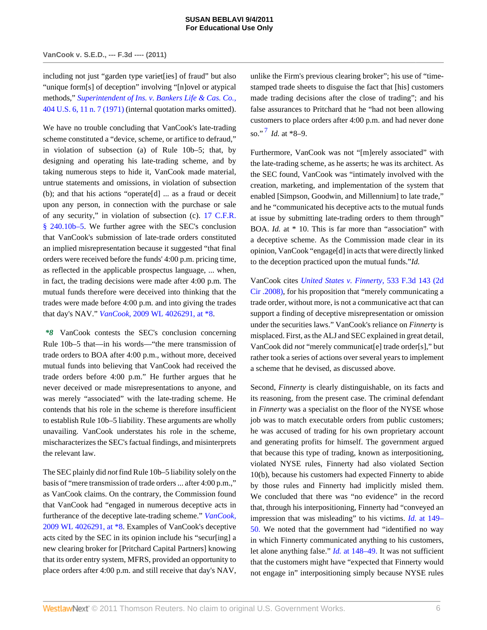including not just "garden type variet[ies] of fraud" but also "unique form[s] of deception" involving "[n]ovel or atypical methods," *[Superintendent of Ins. v. Bankers Life & Cas. Co.,](http://www.westlaw.com/Link/Document/FullText?findType=Y&serNum=1971136548&pubNum=780&originationContext=document&vr=3.0&rs=cblt1.0&transitionType=DocumentItem&contextData=(sc.Search)#co_pp_sp_780_11)* [404 U.S. 6, 11 n. 7 \(1971\)](http://www.westlaw.com/Link/Document/FullText?findType=Y&serNum=1971136548&pubNum=780&originationContext=document&vr=3.0&rs=cblt1.0&transitionType=DocumentItem&contextData=(sc.Search)#co_pp_sp_780_11) (internal quotation marks omitted).

We have no trouble concluding that VanCook's late-trading scheme constituted a "device, scheme, or artifice to defraud," in violation of subsection (a) of Rule 10b–5; that, by designing and operating his late-trading scheme, and by taking numerous steps to hide it, VanCook made material, untrue statements and omissions, in violation of subsection (b); and that his actions "operate[d] ... as a fraud or deceit upon any person, in connection with the purchase or sale of any security," in violation of subsection (c). [17 C.F.R.](http://www.westlaw.com/Link/Document/FullText?findType=L&pubNum=1000547&cite=17CFRS240.10B-5&originatingDoc=I3b269273c1e511e08bbeb4ca0e5b8ed9&refType=LQ&originationContext=document&vr=3.0&rs=cblt1.0&transitionType=DocumentItem&contextData=(sc.Search)) [§ 240.10b–5.](http://www.westlaw.com/Link/Document/FullText?findType=L&pubNum=1000547&cite=17CFRS240.10B-5&originatingDoc=I3b269273c1e511e08bbeb4ca0e5b8ed9&refType=LQ&originationContext=document&vr=3.0&rs=cblt1.0&transitionType=DocumentItem&contextData=(sc.Search)) We further agree with the SEC's conclusion that VanCook's submission of late-trade orders constituted an implied misrepresentation because it suggested "that final orders were received before the funds' 4:00 p.m. pricing time, as reflected in the applicable prospectus language, ... when, in fact, the trading decisions were made after 4:00 p.m. The mutual funds therefore were deceived into thinking that the trades were made before 4:00 p.m. and into giving the trades that day's NAV." *VanCook,* [2009 WL 4026291, at \\*8.](http://www.westlaw.com/Link/Document/FullText?findType=Y&serNum=2020480244&pubNum=0000999&originationContext=document&vr=3.0&rs=cblt1.0&transitionType=DocumentItem&contextData=(sc.Search))

*\*8* VanCook contests the SEC's conclusion concerning Rule 10b–5 that—in his words—"the mere transmission of trade orders to BOA after 4:00 p.m., without more, deceived mutual funds into believing that VanCook had received the trade orders before 4:00 p.m." He further argues that he never deceived or made misrepresentations to anyone, and was merely "associated" with the late-trading scheme. He contends that his role in the scheme is therefore insufficient to establish Rule 10b–5 liability. These arguments are wholly unavailing. VanCook understates his role in the scheme, mischaracterizes the SEC's factual findings, and misinterprets the relevant law.

The SEC plainly did *not* find Rule 10b–5 liability solely on the basis of "mere transmission of trade orders ... after 4:00 p.m.," as VanCook claims. On the contrary, the Commission found that VanCook had "engaged in numerous deceptive acts in furtherance of the deceptive late-trading scheme." *[VanCook,](http://www.westlaw.com/Link/Document/FullText?findType=Y&serNum=2020480244&pubNum=0000999&originationContext=document&vr=3.0&rs=cblt1.0&transitionType=DocumentItem&contextData=(sc.Search))* [2009 WL 4026291, at \\*8](http://www.westlaw.com/Link/Document/FullText?findType=Y&serNum=2020480244&pubNum=0000999&originationContext=document&vr=3.0&rs=cblt1.0&transitionType=DocumentItem&contextData=(sc.Search)). Examples of VanCook's deceptive acts cited by the SEC in its opinion include his "secur[ing] a new clearing broker for [Pritchard Capital Partners] knowing that its order entry system, MFRS, provided an opportunity to place orders after 4:00 p.m. and still receive that day's NAV, unlike the Firm's previous clearing broker"; his use of "timestamped trade sheets to disguise the fact that [his] customers made trading decisions after the close of trading"; and his false assurances to Pritchard that he "had not been allowing customers to place orders after 4:00 p.m. and had never done so." [7](#page-9-4) *Id.* at \*8–9.

<span id="page-5-0"></span>Furthermore, VanCook was not "[m]erely associated" with the late-trading scheme, as he asserts; he was its architect. As the SEC found, VanCook was "intimately involved with the creation, marketing, and implementation of the system that enabled [Simpson, Goodwin, and Millennium] to late trade," and he "communicated his deceptive acts to the mutual funds at issue by submitting late-trading orders to them through" BOA. *Id.* at \* 10. This is far more than "association" with a deceptive scheme. As the Commission made clear in its opinion, VanCook "engage[d] in acts that were directly linked to the deception practiced upon the mutual funds."*Id.*

VanCook cites *[United States v. Finnerty,](http://www.westlaw.com/Link/Document/FullText?findType=Y&serNum=2016554667&pubNum=506&originationContext=document&vr=3.0&rs=cblt1.0&transitionType=DocumentItem&contextData=(sc.Search))* 533 F.3d 143 (2d [Cir .2008\)](http://www.westlaw.com/Link/Document/FullText?findType=Y&serNum=2016554667&pubNum=506&originationContext=document&vr=3.0&rs=cblt1.0&transitionType=DocumentItem&contextData=(sc.Search)), for his proposition that "merely communicating a trade order, without more, is not a communicative act that can support a finding of deceptive misrepresentation or omission under the securities laws." VanCook's reliance on *Finnerty* is misplaced. First, as the ALJ and SEC explained in great detail, VanCook did *not* "merely communicat[e] trade order[s]," but rather took a series of actions over several years to implement a scheme that he devised, as discussed above.

Second, *Finnerty* is clearly distinguishable, on its facts and its reasoning, from the present case. The criminal defendant in *Finnerty* was a specialist on the floor of the NYSE whose job was to match executable orders from public customers; he was accused of trading for his own proprietary account and generating profits for himself. The government argued that because this type of trading, known as interpositioning, violated NYSE rules, Finnerty had also violated Section 10(b), because his customers had expected Finnerty to abide by those rules and Finnerty had implicitly misled them. We concluded that there was "no evidence" in the record that, through his interpositioning, Finnerty had "conveyed an impression that was misleading" to his victims. *Id.* [at 149–](http://www.westlaw.com/Link/Document/FullText?findType=Y&serNum=2016554667&originationContext=document&vr=3.0&rs=cblt1.0&transitionType=DocumentItem&contextData=(sc.Search)) [50.](http://www.westlaw.com/Link/Document/FullText?findType=Y&serNum=2016554667&originationContext=document&vr=3.0&rs=cblt1.0&transitionType=DocumentItem&contextData=(sc.Search)) We noted that the government had "identified no way in which Finnerty communicated anything to his customers, let alone anything false." *Id.* [at 148–49.](http://www.westlaw.com/Link/Document/FullText?findType=Y&serNum=2016554667&originationContext=document&vr=3.0&rs=cblt1.0&transitionType=DocumentItem&contextData=(sc.Search)) It was not sufficient that the customers might have "expected that Finnerty would not engage in" interpositioning simply because NYSE rules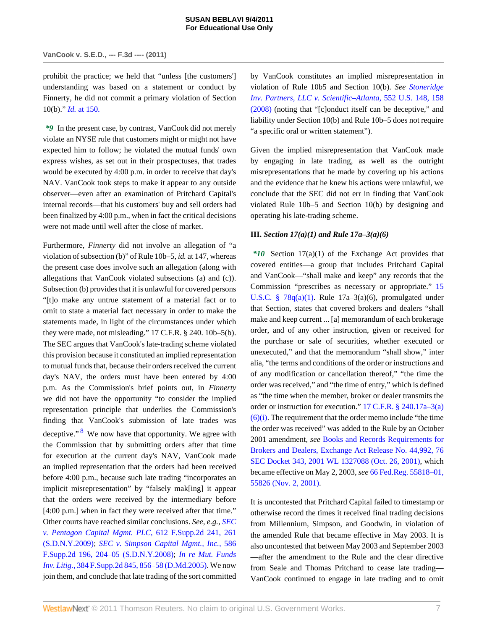prohibit the practice; we held that "unless [the customers'] understanding was based on a statement or conduct by Finnerty, he did not commit a primary violation of Section 10(b)." *Id.* [at 150.](http://www.westlaw.com/Link/Document/FullText?findType=Y&serNum=2016554667&originationContext=document&vr=3.0&rs=cblt1.0&transitionType=DocumentItem&contextData=(sc.Search))

*\*9* In the present case, by contrast, VanCook did not merely violate an NYSE rule that customers might or might not have expected him to follow; he violated the mutual funds' own express wishes, as set out in their prospectuses, that trades would be executed by 4:00 p.m. in order to receive that day's NAV. VanCook took steps to make it appear to any outside observer—even after an examination of Pritchard Capital's internal records—that his customers' buy and sell orders had been finalized by 4:00 p.m., when in fact the critical decisions were not made until well after the close of market.

<span id="page-6-0"></span>Furthermore, *Finnerty* did not involve an allegation of "a violation of subsection (b)" of Rule 10b–5, *id.* at 147, whereas the present case does involve such an allegation (along with allegations that VanCook violated subsections (a) and (c)). Subsection (b) provides that it is unlawful for covered persons "[t]o make any untrue statement of a material fact or to omit to state a material fact necessary in order to make the statements made, in light of the circumstances under which they were made, not misleading." 17 C.F.R. § 240. 10b–5(b). The SEC argues that VanCook's late-trading scheme violated this provision because it constituted an implied representation to mutual funds that, because their orders received the current day's NAV, the orders must have been entered by 4:00 p.m. As the Commission's brief points out, in *Finnerty* we did not have the opportunity "to consider the implied representation principle that underlies the Commission's finding that VanCook's submission of late trades was deceptive."<sup>[8](#page-9-5)</sup> We now have that opportunity. We agree with the Commission that by submitting orders after that time for execution at the current day's NAV, VanCook made an implied representation that the orders had been received before 4:00 p.m., because such late trading "incorporates an implicit misrepresentation" by "falsely mak[ing] it appear that the orders were received by the intermediary before [4:00 p.m.] when in fact they were received after that time." Other courts have reached similar conclusions. *See, e.g., [SEC](http://www.westlaw.com/Link/Document/FullText?findType=Y&serNum=2018119647&pubNum=4637&originationContext=document&vr=3.0&rs=cblt1.0&transitionType=DocumentItem&contextData=(sc.Search)#co_pp_sp_4637_261) [v. Pentagon Capital Mgmt. PLC,](http://www.westlaw.com/Link/Document/FullText?findType=Y&serNum=2018119647&pubNum=4637&originationContext=document&vr=3.0&rs=cblt1.0&transitionType=DocumentItem&contextData=(sc.Search)#co_pp_sp_4637_261)* 612 F.Supp.2d 241, 261 [\(S.D.N.Y.2009\);](http://www.westlaw.com/Link/Document/FullText?findType=Y&serNum=2018119647&pubNum=4637&originationContext=document&vr=3.0&rs=cblt1.0&transitionType=DocumentItem&contextData=(sc.Search)#co_pp_sp_4637_261) *[SEC v. Simpson Capital Mgmt., Inc.,](http://www.westlaw.com/Link/Document/FullText?findType=Y&serNum=2016918362&pubNum=4637&originationContext=document&vr=3.0&rs=cblt1.0&transitionType=DocumentItem&contextData=(sc.Search)#co_pp_sp_4637_204)* 586 [F.Supp.2d 196, 204–05 \(S.D.N.Y.2008\)](http://www.westlaw.com/Link/Document/FullText?findType=Y&serNum=2016918362&pubNum=4637&originationContext=document&vr=3.0&rs=cblt1.0&transitionType=DocumentItem&contextData=(sc.Search)#co_pp_sp_4637_204); *[In re Mut. Funds](http://www.westlaw.com/Link/Document/FullText?findType=Y&serNum=2007196733&pubNum=4637&originationContext=document&vr=3.0&rs=cblt1.0&transitionType=DocumentItem&contextData=(sc.Search)#co_pp_sp_4637_856) Inv. Litig.,* [384 F.Supp.2d 845, 856–58 \(D.Md.2005\).](http://www.westlaw.com/Link/Document/FullText?findType=Y&serNum=2007196733&pubNum=4637&originationContext=document&vr=3.0&rs=cblt1.0&transitionType=DocumentItem&contextData=(sc.Search)#co_pp_sp_4637_856) We now join them, and conclude that late trading of the sort committed

by VanCook constitutes an implied misrepresentation in violation of Rule 10b5 and Section 10(b). *See [Stoneridge](http://www.westlaw.com/Link/Document/FullText?findType=Y&serNum=2014711511&pubNum=780&originationContext=document&vr=3.0&rs=cblt1.0&transitionType=DocumentItem&contextData=(sc.Search)#co_pp_sp_780_158) [Inv. Partners, LLC v. Scientific–Atlanta,](http://www.westlaw.com/Link/Document/FullText?findType=Y&serNum=2014711511&pubNum=780&originationContext=document&vr=3.0&rs=cblt1.0&transitionType=DocumentItem&contextData=(sc.Search)#co_pp_sp_780_158)* 552 U.S. 148, 158 [\(2008\)](http://www.westlaw.com/Link/Document/FullText?findType=Y&serNum=2014711511&pubNum=780&originationContext=document&vr=3.0&rs=cblt1.0&transitionType=DocumentItem&contextData=(sc.Search)#co_pp_sp_780_158) (noting that "[c]onduct itself can be deceptive," and liability under Section 10(b) and Rule 10b–5 does not require "a specific oral or written statement").

Given the implied misrepresentation that VanCook made by engaging in late trading, as well as the outright misrepresentations that he made by covering up his actions and the evidence that he knew his actions were unlawful, we conclude that the SEC did not err in finding that VanCook violated Rule 10b–5 and Section 10(b) by designing and operating his late-trading scheme.

### **III.** *Section 17(a)(1) and Rule 17a–3(a)(6)*

*\*10* Section 17(a)(1) of the Exchange Act provides that covered entities—a group that includes Pritchard Capital and VanCook—"shall make and keep" any records that the Commission "prescribes as necessary or appropriate." [15](http://www.westlaw.com/Link/Document/FullText?findType=L&pubNum=1000546&cite=15USCAS78Q&originationContext=document&vr=3.0&rs=cblt1.0&transitionType=DocumentItem&contextData=(sc.Search)#co_pp_7b9b000044381) U.S.C. §  $78q(a)(1)$ . Rule  $17a-3(a)(6)$ , promulgated under that Section, states that covered brokers and dealers "shall make and keep current ... [a] memorandum of each brokerage order, and of any other instruction, given or received for the purchase or sale of securities, whether executed or unexecuted," and that the memorandum "shall show," inter alia, "the terms and conditions of the order or instructions and of any modification or cancellation thereof," "the time the order was received," and "the time of entry," which is defined as "the time when the member, broker or dealer transmits the order or instruction for execution." [17 C.F.R. § 240.17a–3\(a\)](http://www.westlaw.com/Link/Document/FullText?findType=L&pubNum=1000547&cite=17CFRS240.17A-3&originationContext=document&vr=3.0&rs=cblt1.0&transitionType=DocumentItem&contextData=(sc.Search)#co_pp_fc71000022572)  $(6)(i)$ . The requirement that the order memo include "the time" the order was received" was added to the Rule by an October 2001 amendment, *see* [Books and Records Requirements for](http://www.westlaw.com/Link/Document/FullText?findType=Y&serNum=2001915848&pubNum=0006509&originationContext=document&vr=3.0&rs=cblt1.0&transitionType=DocumentItem&contextData=(sc.Search)) [Brokers and Dealers, Exchange Act Release No. 44,992, 76](http://www.westlaw.com/Link/Document/FullText?findType=Y&serNum=2001915848&pubNum=0006509&originationContext=document&vr=3.0&rs=cblt1.0&transitionType=DocumentItem&contextData=(sc.Search)) [SEC Docket 343, 2001 WL 1327088 \(Oct. 26, 2001\)](http://www.westlaw.com/Link/Document/FullText?findType=Y&serNum=2001915848&pubNum=0006509&originationContext=document&vr=3.0&rs=cblt1.0&transitionType=DocumentItem&contextData=(sc.Search)), which became effective on May 2, 2003, *see* [66 Fed.Reg. 55818–01,](http://www.westlaw.com/Link/Document/FullText?findType=Y&serNum=0287157591&pubNum=1037&originationContext=document&vr=3.0&rs=cblt1.0&transitionType=DocumentItem&contextData=(sc.Search)#co_pp_sp_1037_55818) [55826 \(Nov. 2, 2001\)](http://www.westlaw.com/Link/Document/FullText?findType=Y&serNum=0287157591&pubNum=1037&originationContext=document&vr=3.0&rs=cblt1.0&transitionType=DocumentItem&contextData=(sc.Search)#co_pp_sp_1037_55818).

It is uncontested that Pritchard Capital failed to timestamp or otherwise record the times it received final trading decisions from Millennium, Simpson, and Goodwin, in violation of the amended Rule that became effective in May 2003. It is also uncontested that between May 2003 and September 2003 —after the amendment to the Rule and the clear directive from Seale and Thomas Pritchard to cease late trading— VanCook continued to engage in late trading and to omit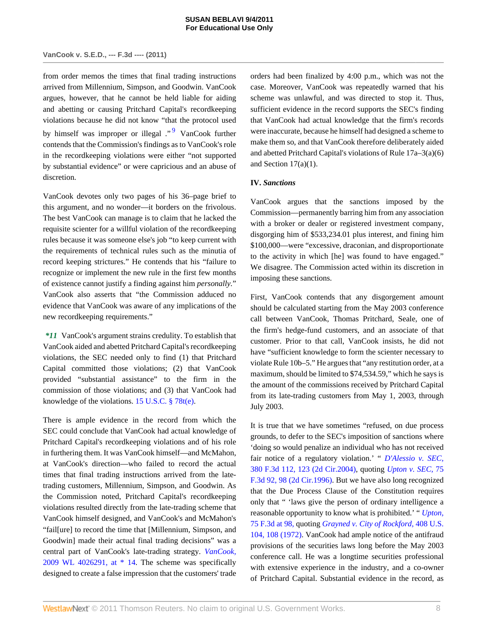# **VanCook v. S.E.D., --- F.3d ---- (2011)**

from order memos the times that final trading instructions arrived from Millennium, Simpson, and Goodwin. VanCook argues, however, that he cannot be held liable for aiding and abetting or causing Pritchard Capital's recordkeeping violations because he did not know "that the protocol used by himself was improper or illegal ."<sup>[9](#page-9-6)</sup> VanCook further contends that the Commission's findings as to VanCook's role in the recordkeeping violations were either "not supported by substantial evidence" or were capricious and an abuse of discretion.

VanCook devotes only two pages of his 36–page brief to this argument, and no wonder—it borders on the frivolous. The best VanCook can manage is to claim that he lacked the requisite scienter for a willful violation of the recordkeeping rules because it was someone else's job "to keep current with the requirements of technical rules such as the minutia of record keeping strictures." He contends that his "failure to recognize or implement the new rule in the first few months of existence cannot justify a finding against him *personally.*" VanCook also asserts that "the Commission adduced no evidence that VanCook was aware of any implications of the new recordkeeping requirements."

*\*11* VanCook's argument strains credulity. To establish that VanCook aided and abetted Pritchard Capital's recordkeeping violations, the SEC needed only to find (1) that Pritchard Capital committed those violations; (2) that VanCook provided "substantial assistance" to the firm in the commission of those violations; and (3) that VanCook had knowledge of the violations. [15 U.S.C. § 78t\(e\).](http://www.westlaw.com/Link/Document/FullText?findType=L&pubNum=1000546&cite=15USCAS78T&originationContext=document&vr=3.0&rs=cblt1.0&transitionType=DocumentItem&contextData=(sc.Search)#co_pp_7fdd00001ca15)

There is ample evidence in the record from which the SEC could conclude that VanCook had actual knowledge of Pritchard Capital's recordkeeping violations and of his role in furthering them. It was VanCook himself—and McMahon, at VanCook's direction—who failed to record the actual times that final trading instructions arrived from the latetrading customers, Millennium, Simpson, and Goodwin. As the Commission noted, Pritchard Capital's recordkeeping violations resulted directly from the late-trading scheme that VanCook himself designed, and VanCook's and McMahon's "fail[ure] to record the time that [Millennium, Simpson, and Goodwin] made their actual final trading decisions" was a central part of VanCook's late-trading strategy. *[VanCook,](http://www.westlaw.com/Link/Document/FullText?findType=Y&serNum=2020480244&pubNum=0000999&originationContext=document&vr=3.0&rs=cblt1.0&transitionType=DocumentItem&contextData=(sc.Search))* [2009 WL 4026291, at \\* 14](http://www.westlaw.com/Link/Document/FullText?findType=Y&serNum=2020480244&pubNum=0000999&originationContext=document&vr=3.0&rs=cblt1.0&transitionType=DocumentItem&contextData=(sc.Search)). The scheme was specifically designed to create a false impression that the customers' trade

<span id="page-7-0"></span>orders had been finalized by 4:00 p.m., which was not the case. Moreover, VanCook was repeatedly warned that his scheme was unlawful, and was directed to stop it. Thus, sufficient evidence in the record supports the SEC's finding that VanCook had actual knowledge that the firm's records were inaccurate, because he himself had designed a scheme to make them so, and that VanCook therefore deliberately aided and abetted Pritchard Capital's violations of Rule 17a–3(a)(6) and Section  $17(a)(1)$ .

# **IV.** *Sanctions*

VanCook argues that the sanctions imposed by the Commission—permanently barring him from any association with a broker or dealer or registered investment company, disgorging him of \$533,234.01 plus interest, and fining him \$100,000—were "excessive, draconian, and disproportionate to the activity in which [he] was found to have engaged." We disagree. The Commission acted within its discretion in imposing these sanctions.

First, VanCook contends that any disgorgement amount should be calculated starting from the May 2003 conference call between VanCook, Thomas Pritchard, Seale, one of the firm's hedge-fund customers, and an associate of that customer. Prior to that call, VanCook insists, he did not have "sufficient knowledge to form the scienter necessary to violate Rule 10b–5." He argues that "any restitution order, at a maximum, should be limited to \$74,534.59," which he says is the amount of the commissions received by Pritchard Capital from its late-trading customers from May 1, 2003, through July 2003.

It is true that we have sometimes "refused, on due process grounds, to defer to the SEC's imposition of sanctions where 'doing so would penalize an individual who has not received fair notice of a regulatory violation.' " *[D'Alessio v. SEC,](http://www.westlaw.com/Link/Document/FullText?findType=Y&serNum=2004869284&pubNum=506&originationContext=document&vr=3.0&rs=cblt1.0&transitionType=DocumentItem&contextData=(sc.Search)#co_pp_sp_506_123)* [380 F.3d 112, 123 \(2d Cir.2004\),](http://www.westlaw.com/Link/Document/FullText?findType=Y&serNum=2004869284&pubNum=506&originationContext=document&vr=3.0&rs=cblt1.0&transitionType=DocumentItem&contextData=(sc.Search)#co_pp_sp_506_123) quoting *[Upton v. SEC,](http://www.westlaw.com/Link/Document/FullText?findType=Y&serNum=1996035297&pubNum=506&originationContext=document&vr=3.0&rs=cblt1.0&transitionType=DocumentItem&contextData=(sc.Search)#co_pp_sp_506_98)* 75 [F.3d 92, 98 \(2d Cir.1996\).](http://www.westlaw.com/Link/Document/FullText?findType=Y&serNum=1996035297&pubNum=506&originationContext=document&vr=3.0&rs=cblt1.0&transitionType=DocumentItem&contextData=(sc.Search)#co_pp_sp_506_98) But we have also long recognized that the Due Process Clause of the Constitution requires only that " 'laws give the person of ordinary intelligence a reasonable opportunity to know what is prohibited.' " *[Upton,](http://www.westlaw.com/Link/Document/FullText?findType=Y&serNum=1996035297&pubNum=506&originationContext=document&vr=3.0&rs=cblt1.0&transitionType=DocumentItem&contextData=(sc.Search)#co_pp_sp_506_98)* [75 F.3d at 98,](http://www.westlaw.com/Link/Document/FullText?findType=Y&serNum=1996035297&pubNum=506&originationContext=document&vr=3.0&rs=cblt1.0&transitionType=DocumentItem&contextData=(sc.Search)#co_pp_sp_506_98) quoting *[Grayned v. City of Rockford,](http://www.westlaw.com/Link/Document/FullText?findType=Y&serNum=1972127175&pubNum=780&originationContext=document&vr=3.0&rs=cblt1.0&transitionType=DocumentItem&contextData=(sc.Search)#co_pp_sp_780_108)* 408 U.S. [104, 108 \(1972\)](http://www.westlaw.com/Link/Document/FullText?findType=Y&serNum=1972127175&pubNum=780&originationContext=document&vr=3.0&rs=cblt1.0&transitionType=DocumentItem&contextData=(sc.Search)#co_pp_sp_780_108). VanCook had ample notice of the antifraud provisions of the securities laws long before the May 2003 conference call. He was a longtime securities professional with extensive experience in the industry, and a co-owner of Pritchard Capital. Substantial evidence in the record, as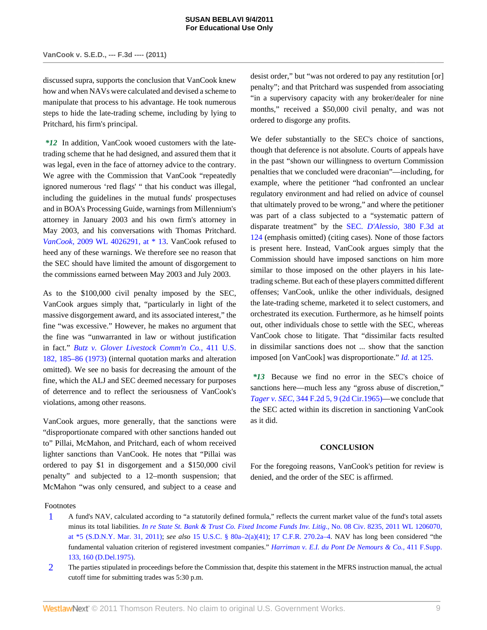discussed supra, supports the conclusion that VanCook knew how and when NAVs were calculated and devised a scheme to manipulate that process to his advantage. He took numerous steps to hide the late-trading scheme, including by lying to Pritchard, his firm's principal.

*\*12* In addition, VanCook wooed customers with the latetrading scheme that he had designed, and assured them that it was legal, even in the face of attorney advice to the contrary. We agree with the Commission that VanCook "repeatedly ignored numerous 'red flags' " that his conduct was illegal, including the guidelines in the mutual funds' prospectuses and in BOA's Processing Guide, warnings from Millennium's attorney in January 2003 and his own firm's attorney in May 2003, and his conversations with Thomas Pritchard. *VanCook,* [2009 WL 4026291, at \\* 13.](http://www.westlaw.com/Link/Document/FullText?findType=Y&serNum=2020480244&pubNum=0000999&originationContext=document&vr=3.0&rs=cblt1.0&transitionType=DocumentItem&contextData=(sc.Search)) VanCook refused to heed any of these warnings. We therefore see no reason that the SEC should have limited the amount of disgorgement to the commissions earned between May 2003 and July 2003.

As to the \$100,000 civil penalty imposed by the SEC, VanCook argues simply that, "particularly in light of the massive disgorgement award, and its associated interest," the fine "was excessive." However, he makes no argument that the fine was "unwarranted in law or without justification in fact." *[Butz v. Glover Livestock Comm'n Co.,](http://www.westlaw.com/Link/Document/FullText?findType=Y&serNum=1973126365&pubNum=780&originationContext=document&vr=3.0&rs=cblt1.0&transitionType=DocumentItem&contextData=(sc.Search)#co_pp_sp_780_185)* 411 U.S. [182, 185–86 \(1973\)](http://www.westlaw.com/Link/Document/FullText?findType=Y&serNum=1973126365&pubNum=780&originationContext=document&vr=3.0&rs=cblt1.0&transitionType=DocumentItem&contextData=(sc.Search)#co_pp_sp_780_185) (internal quotation marks and alteration omitted). We see no basis for decreasing the amount of the fine, which the ALJ and SEC deemed necessary for purposes of deterrence and to reflect the seriousness of VanCook's violations, among other reasons.

VanCook argues, more generally, that the sanctions were "disproportionate compared with other sanctions handed out to" Pillai, McMahon, and Pritchard, each of whom received lighter sanctions than VanCook. He notes that "Pillai was ordered to pay \$1 in disgorgement and a \$150,000 civil penalty" and subjected to a 12–month suspension; that McMahon "was only censured, and subject to a cease and

desist order," but "was not ordered to pay any restitution [or] penalty"; and that Pritchard was suspended from associating "in a supervisory capacity with any broker/dealer for nine months," received a \$50,000 civil penalty, and was not ordered to disgorge any profits.

We defer substantially to the SEC's choice of sanctions, though that deference is not absolute. Courts of appeals have in the past "shown our willingness to overturn Commission penalties that we concluded were draconian"—including, for example, where the petitioner "had confronted an unclear regulatory environment and had relied on advice of counsel that ultimately proved to be wrong," and where the petitioner was part of a class subjected to a "systematic pattern of disparate treatment" by the SEC. *D'Alessio,* [380 F.3d at](http://www.westlaw.com/Link/Document/FullText?findType=Y&serNum=2004869284&pubNum=506&originationContext=document&vr=3.0&rs=cblt1.0&transitionType=DocumentItem&contextData=(sc.Search)#co_pp_sp_506_124) [124](http://www.westlaw.com/Link/Document/FullText?findType=Y&serNum=2004869284&pubNum=506&originationContext=document&vr=3.0&rs=cblt1.0&transitionType=DocumentItem&contextData=(sc.Search)#co_pp_sp_506_124) (emphasis omitted) (citing cases). None of those factors is present here. Instead, VanCook argues simply that the Commission should have imposed sanctions on him more similar to those imposed on the other players in his latetrading scheme. But each of these players committed different offenses; VanCook, unlike the other individuals, designed the late-trading scheme, marketed it to select customers, and orchestrated its execution. Furthermore, as he himself points out, other individuals chose to settle with the SEC, whereas VanCook chose to litigate. That "dissimilar facts resulted in dissimilar sanctions does not ... show that the sanction imposed [on VanCook] was disproportionate." *Id.* [at 125.](http://www.westlaw.com/Link/Document/FullText?findType=Y&serNum=2004869284&originationContext=document&vr=3.0&rs=cblt1.0&transitionType=DocumentItem&contextData=(sc.Search))

*\*13* Because we find no error in the SEC's choice of sanctions here—much less any "gross abuse of discretion," *Tager v. SEC,* [344 F.2d 5, 9 \(2d Cir.1965\)—](http://www.westlaw.com/Link/Document/FullText?findType=Y&serNum=1965105076&pubNum=350&originationContext=document&vr=3.0&rs=cblt1.0&transitionType=DocumentItem&contextData=(sc.Search)#co_pp_sp_350_9)we conclude that the SEC acted within its discretion in sanctioning VanCook as it did.

# **CONCLUSION**

For the foregoing reasons, VanCook's petition for review is denied, and the order of the SEC is affirmed.

Footnotes

- <span id="page-8-0"></span>[1](#page-1-0) A fund's NAV, calculated according to "a statutorily defined formula," reflects the current market value of the fund's total assets minus its total liabilities. *[In re State St. Bank & Trust Co. Fixed Income Funds Inv. Litig.,](http://www.westlaw.com/Link/Document/FullText?findType=Y&serNum=2024927770&pubNum=0000999&originationContext=document&vr=3.0&rs=cblt1.0&transitionType=DocumentItem&contextData=(sc.Search))* No. 08 Civ. 8235, 2011 WL 1206070, [at \\*5 \(S.D.N.Y. Mar. 31, 2011\);](http://www.westlaw.com/Link/Document/FullText?findType=Y&serNum=2024927770&pubNum=0000999&originationContext=document&vr=3.0&rs=cblt1.0&transitionType=DocumentItem&contextData=(sc.Search)) *see also* [15 U.S.C. § 80a–2\(a\)\(41\)](http://www.westlaw.com/Link/Document/FullText?findType=L&pubNum=1000546&cite=15USCAS80A-2&originationContext=document&vr=3.0&rs=cblt1.0&transitionType=DocumentItem&contextData=(sc.Search)#co_pp_4c0f0000a9271); [17 C.F.R. 270.2a–4.](http://www.westlaw.com/Link/Document/FullText?findType=L&pubNum=1000547&cite=17CFRS270.2A-4&originatingDoc=I3b269273c1e511e08bbeb4ca0e5b8ed9&refType=LQ&originationContext=document&vr=3.0&rs=cblt1.0&transitionType=DocumentItem&contextData=(sc.Search)) NAV has long been considered "the fundamental valuation criterion of registered investment companies." *[Harriman v. E.I. du Pont De Nemours & Co.,](http://www.westlaw.com/Link/Document/FullText?findType=Y&serNum=1976142489&pubNum=345&originationContext=document&vr=3.0&rs=cblt1.0&transitionType=DocumentItem&contextData=(sc.Search)#co_pp_sp_345_160)* 411 F.Supp. [133, 160 \(D.Del.1975\).](http://www.westlaw.com/Link/Document/FullText?findType=Y&serNum=1976142489&pubNum=345&originationContext=document&vr=3.0&rs=cblt1.0&transitionType=DocumentItem&contextData=(sc.Search)#co_pp_sp_345_160)
- <span id="page-8-1"></span>[2](#page-1-1) The parties stipulated in proceedings before the Commission that, despite this statement in the MFRS instruction manual, the actual cutoff time for submitting trades was 5:30 p.m.